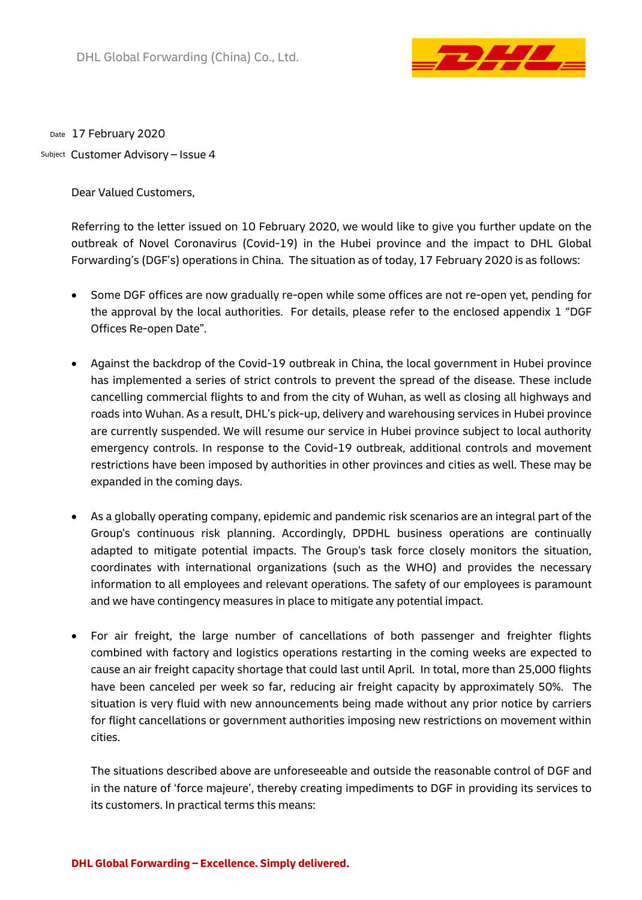

<sub>Date</sub> 17 February 2020

Customer Advisory – Issue 4 Subject

Dear Valued Customers,

Referring to the letter issued on 10 February 2020, we would like to give you further update on the outbreak of Novel Coronavirus (Covid-19) in the Hubei province and the impact to DHL Global Forwarding's (DGF's) operations in China. The situation as of today, 17 February 2020 is as follows:

- Some DGF offices are now gradually re-open while some offices are not re-open yet, pending for the approval by the local authorities. For details, please refer to the enclosed appendix 1 "DGF Offices Re-open Date".
- Against the backdrop of the Covid-19 outbreak in China, the local government in Hubei province has implemented a series of strict controls to prevent the spread of the disease. These include cancelling commercial flights to and from the city of Wuhan, as well as closing all highways and roads into Wuhan. As a result, DHL's pick-up, delivery and warehousing services in Hubei province are currently suspended. We will resume our service in Hubei province subject to local authority emergency controls. In response to the Covid-19 outbreak, additional controls and movement restrictions have been imposed by authorities in other provinces and cities as well. These may be expanded in the coming days.
- As a globally operating company, epidemic and pandemic risk scenarios are an integral part of the Group's continuous risk planning. Accordingly, DPDHL business operations are continually adapted to mitigate potential impacts. The Group's task force closely monitors the situation, coordinates with international organizations (such as the WHO) and provides the necessary information to all employees and relevant operations. The safety of our employees is paramount and we have contingency measures in place to mitigate any potential impact.
- For air freight, the large number of cancellations of both passenger and freighter flights combined with factory and logistics operations restarting in the coming weeks are expected to cause an air freight capacity shortage that could last until April. In total, more than 25,000 flights have been canceled per week so far, reducing air freight capacity by approximately 50%. The situation is very fluid with new announcements being made without any prior notice by carriers for flight cancellations or government authorities imposing new restrictions on movement within cities.

The situations described above are unforeseeable and outside the reasonable control of DGF and in the nature of 'force majeure', thereby creating impediments to DGF in providing its services to its customers. In practical terms this means: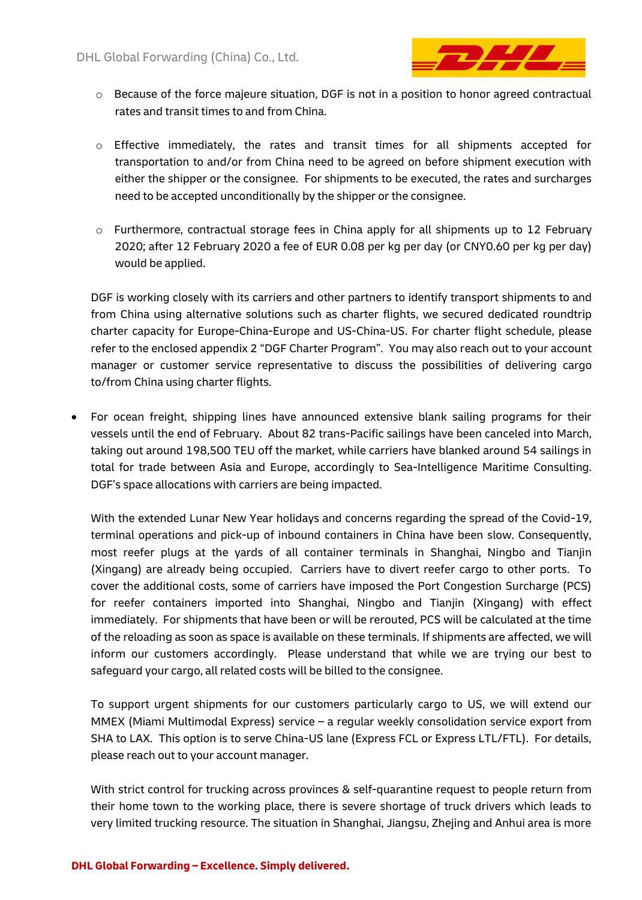

- o Because of the force majeure situation, DGF is not in a position to honor agreed contractual rates and transit times to and from China.
- $\circ$  Effective immediately, the rates and transit times for all shipments accepted for transportation to and/or from China need to be agreed on before shipment execution with either the shipper or the consignee. For shipments to be executed, the rates and surcharges need to be accepted unconditionally by the shipper or the consignee.
- $\circ$  Furthermore, contractual storage fees in China apply for all shipments up to 12 February 2020; after 12 February 2020 a fee of EUR 0.08 per kg per day (or CNY0.60 per kg per day) would be applied.

DGF is working closely with its carriers and other partners to identify transport shipments to and from China using alternative solutions such as charter flights, we secured dedicated roundtrip charter capacity for Europe-China-Europe and US-China-US. For charter flight schedule, please refer to the enclosed appendix 2 "DGF Charter Program". You may also reach out to your account manager or customer service representative to discuss the possibilities of delivering cargo to/from China using charter flights.

 For ocean freight, shipping lines have announced extensive blank sailing programs for their vessels until the end of February. About 82 trans-Pacific sailings have been canceled into March, taking out around 198,500 TEU off the market, while carriers have blanked around 54 sailings in total for trade between Asia and Europe, accordingly to Sea-Intelligence Maritime Consulting. DGF's space allocations with carriers are being impacted.

With the extended Lunar New Year holidays and concerns regarding the spread of the Covid-19, terminal operations and pick-up of inbound containers in China have been slow. Consequently, most reefer plugs at the yards of all container terminals in Shanghai, Ningbo and Tianjin (Xingang) are already being occupied. Carriers have to divert reefer cargo to other ports. To cover the additional costs, some of carriers have imposed the Port Congestion Surcharge (PCS) for reefer containers imported into Shanghai, Ningbo and Tianjin (Xingang) with effect immediately. For shipments that have been or will be rerouted, PCS will be calculated at the time of the reloading as soon as space is available on these terminals. If shipments are affected, we will inform our customers accordingly. Please understand that while we are trying our best to safeguard your cargo, all related costs will be billed to the consignee.

To support urgent shipments for our customers particularly cargo to US, we will extend our MMEX (Miami Multimodal Express) service – a regular weekly consolidation service export from SHA to LAX. This option is to serve China-US lane (Express FCL or Express LTL/FTL). For details, please reach out to your account manager.

With strict control for trucking across provinces & self-quarantine request to people return from their home town to the working place, there is severe shortage of truck drivers which leads to very limited trucking resource. The situation in Shanghai, Jiangsu, Zhejing and Anhui area is more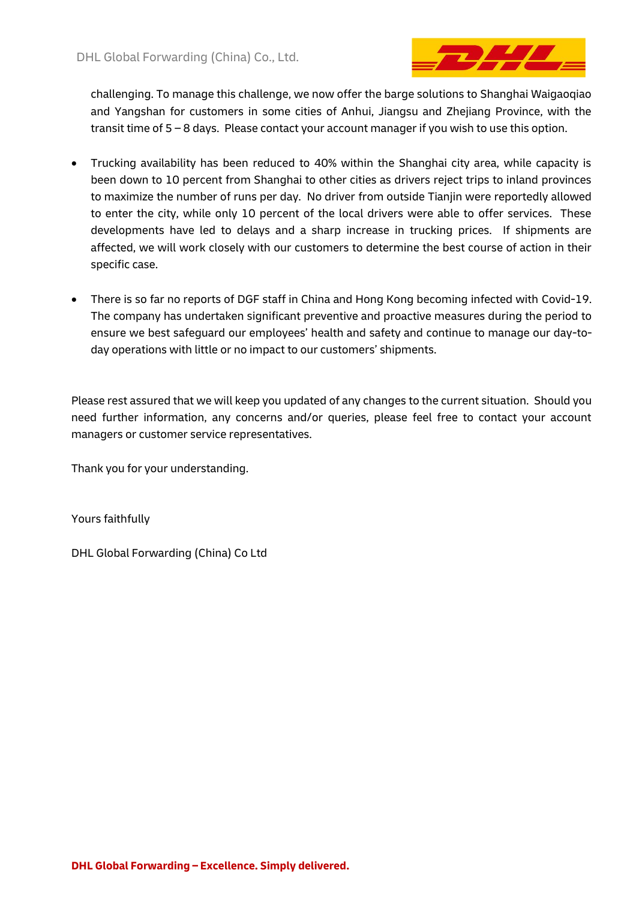

challenging. To manage this challenge, we now offer the barge solutions to Shanghai Waigaoqiao and Yangshan for customers in some cities of Anhui, Jiangsu and Zhejiang Province, with the transit time of 5 – 8 days. Please contact your account manager if you wish to use this option.

- Trucking availability has been reduced to 40% within the Shanghai city area, while capacity is been down to 10 percent from Shanghai to other cities as drivers reject trips to inland provinces to maximize the number of runs per day. No driver from outside Tianjin were reportedly allowed to enter the city, while only 10 percent of the local drivers were able to offer services. These developments have led to delays and a sharp increase in trucking prices. If shipments are affected, we will work closely with our customers to determine the best course of action in their specific case.
- There is so far no reports of DGF staff in China and Hong Kong becoming infected with Covid-19. The company has undertaken significant preventive and proactive measures during the period to ensure we best safeguard our employees' health and safety and continue to manage our day-today operations with little or no impact to our customers' shipments.

Please rest assured that we will keep you updated of any changes to the current situation. Should you need further information, any concerns and/or queries, please feel free to contact your account managers or customer service representatives.

Thank you for your understanding.

Yours faithfully

DHL Global Forwarding (China) Co Ltd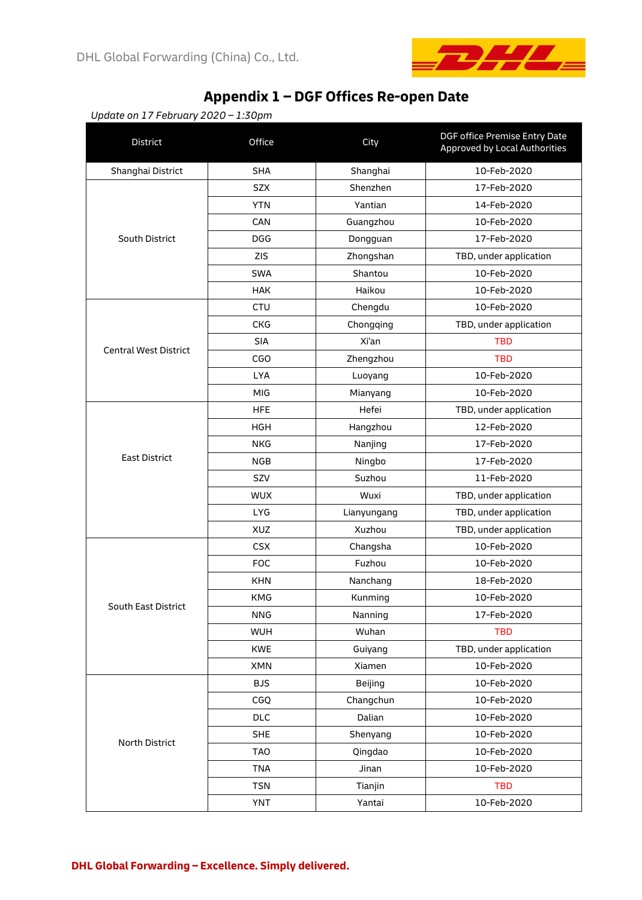

# **Appendix 1 – DGF Offices Re-open Date**

*Update on 17 February 2020 – 1:30pm*

| District                     | Office     | City        | DGF office Premise Entry Date<br>Approved by Local Authorities |
|------------------------------|------------|-------------|----------------------------------------------------------------|
| Shanghai District            | <b>SHA</b> | Shanghai    | 10-Feb-2020                                                    |
|                              | <b>SZX</b> | Shenzhen    | 17-Feb-2020                                                    |
|                              | <b>YTN</b> | Yantian     | 14-Feb-2020                                                    |
|                              | CAN        | Guangzhou   | 10-Feb-2020                                                    |
| South District               | <b>DGG</b> | Dongguan    | 17-Feb-2020                                                    |
|                              | <b>ZIS</b> | Zhongshan   | TBD, under application                                         |
|                              | <b>SWA</b> | Shantou     | 10-Feb-2020                                                    |
|                              | <b>HAK</b> | Haikou      | 10-Feb-2020                                                    |
|                              | <b>CTU</b> | Chengdu     | 10-Feb-2020                                                    |
|                              | <b>CKG</b> | Chongqing   | TBD, under application                                         |
|                              | <b>SIA</b> | Xi'an       | <b>TBD</b>                                                     |
| <b>Central West District</b> | CGO        | Zhengzhou   | <b>TBD</b>                                                     |
|                              | <b>LYA</b> | Luoyang     | 10-Feb-2020                                                    |
|                              | MIG        | Mianyang    | 10-Feb-2020                                                    |
|                              | <b>HFE</b> | Hefei       | TBD, under application                                         |
|                              | <b>HGH</b> | Hangzhou    | 12-Feb-2020                                                    |
|                              | <b>NKG</b> | Nanjing     | 17-Feb-2020                                                    |
| <b>East District</b>         | <b>NGB</b> | Ningbo      | 17-Feb-2020                                                    |
|                              | SZV        | Suzhou      | 11-Feb-2020                                                    |
|                              | <b>WUX</b> | Wuxi        | TBD, under application                                         |
|                              | <b>LYG</b> | Lianyungang | TBD, under application                                         |
|                              | <b>XUZ</b> | Xuzhou      | TBD, under application                                         |
|                              | <b>CSX</b> | Changsha    | 10-Feb-2020                                                    |
|                              | <b>FOC</b> | Fuzhou      | 10-Feb-2020                                                    |
|                              | <b>KHN</b> | Nanchang    | 18-Feb-2020                                                    |
|                              | <b>KMG</b> | Kunming     | 10-Feb-2020                                                    |
| South East District          | <b>NNG</b> | Nanning     | 17-Feb-2020                                                    |
|                              | <b>WUH</b> | Wuhan       | <b>TBD</b>                                                     |
|                              | <b>KWE</b> | Guiyang     | TBD, under application                                         |
|                              | XMN        | Xiamen      | 10-Feb-2020                                                    |
|                              | <b>BJS</b> | Beijing     | 10-Feb-2020                                                    |
|                              | CGQ        | Changchun   | 10-Feb-2020                                                    |
|                              | <b>DLC</b> | Dalian      | 10-Feb-2020                                                    |
|                              | <b>SHE</b> | Shenyang    | 10-Feb-2020                                                    |
| North District               | <b>TAO</b> | Qingdao     | 10-Feb-2020                                                    |
|                              | <b>TNA</b> | Jinan       | 10-Feb-2020                                                    |
|                              | <b>TSN</b> | Tianjin     | <b>TBD</b>                                                     |
|                              | <b>YNT</b> | Yantai      | 10-Feb-2020                                                    |